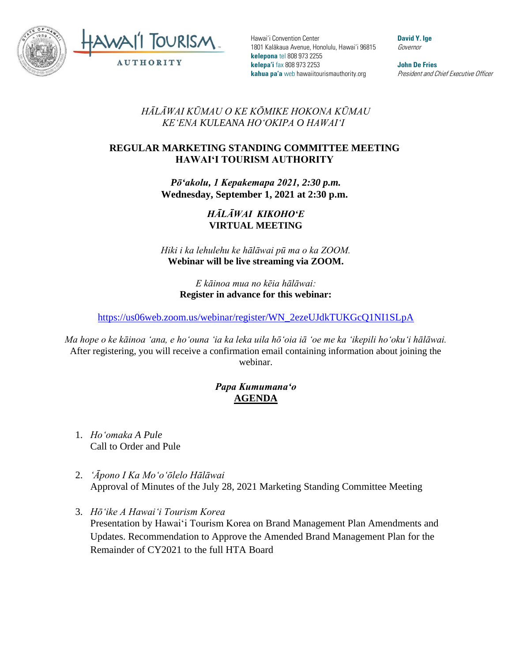

Hawai'i Convention Center 1801 Kalākaua Avenue, Honolulu, Hawai'i 96815 **kelepona** tel 808 973 2255 **kelepa'i** fax 808 973 2253 **kahua pa'a** web hawaiitourismauthority.org

**David Y. Ige** Governor

**John De Fries** President and Chief Executive Officer

## *HĀLĀWAI KŪMAU O KE KŌMIKE HOKONA KŪMAU KEʻENA KULEANA HOʻOKIPA O HAWAIʻI*

## **REGULAR MARKETING STANDING COMMITTEE MEETING HAWAI'I TOURISM AUTHORITY**

*Pōʻakolu, 1 Kepakemapa 2021, 2:30 p.m.* **Wednesday, September 1, 2021 at 2:30 p.m.**

> *HĀLĀWAI KIKOHOʻE* **VIRTUAL MEETING**

*Hiki i ka lehulehu ke hālāwai pū ma o ka ZOOM.*  **Webinar will be live streaming via ZOOM.**

> *E kāinoa mua no kēia hālāwai:* **Register in advance for this webinar:**

[https://us06web.zoom.us/webinar/register/WN\\_2ezeUJdkTUKGcQ1NI1SLpA](https://us06web.zoom.us/webinar/register/WN_2ezeUJdkTUKGcQ1NI1SLpA)

*Ma hope o ke kāinoa ʻana, e hoʻouna ʻia ka leka uila hōʻoia iā ʻoe me ka ʻikepili hoʻokuʻi hālāwai.* After registering, you will receive a confirmation email containing information about joining the webinar.

## *Papa Kumumanaʻo* **AGENDA**

- 1. *Hoʻomaka A Pule* Call to Order and Pule
- 2. *ʻĀpono I Ka Moʻoʻōlelo Hālāwai* Approval of Minutes of the July 28, 2021 Marketing Standing Committee Meeting
- 3. *Hōʻike A Hawaiʻi Tourism Korea* Presentation by Hawai'i Tourism Korea on Brand Management Plan Amendments and Updates. Recommendation to Approve the Amended Brand Management Plan for the Remainder of CY2021 to the full HTA Board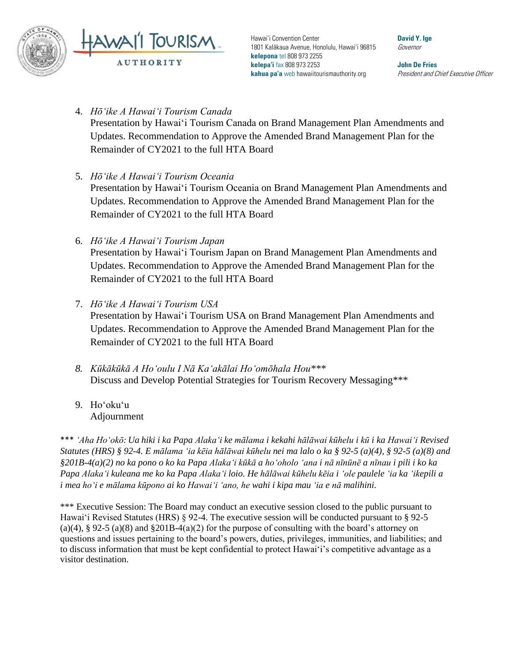



Hawai'i Convention Center 1801 Kalākaua Avenue, Honolulu, Hawai'i 96815 **kelepona** tel 808 973 2255 **kelepa'i** fax 808 973 2253 **kahua pa'a** web hawaiitourismauthority.org

**David Y. Ige** Governor

**John De Fries** President and Chief Executive Officer

- 4. *Hōʻike A Hawaiʻi Tourism Canada* Presentation by Hawai'i Tourism Canada on Brand Management Plan Amendments and Updates. Recommendation to Approve the Amended Brand Management Plan for the Remainder of CY2021 to the full HTA Board
- 5. *Hōʻike A Hawaiʻi Tourism Oceania* Presentation by Hawai'i Tourism Oceania on Brand Management Plan Amendments and Updates. Recommendation to Approve the Amended Brand Management Plan for the Remainder of CY2021 to the full HTA Board
- 6. *Hōʻike A Hawaiʻi Tourism Japan* Presentation by Hawai'i Tourism Japan on Brand Management Plan Amendments and Updates. Recommendation to Approve the Amended Brand Management Plan for the Remainder of CY2021 to the full HTA Board
- 7. *Hōʻike A Hawaiʻi Tourism USA* Presentation by Hawai'i Tourism USA on Brand Management Plan Amendments and Updates. Recommendation to Approve the Amended Brand Management Plan for the Remainder of CY2021 to the full HTA Board
- *8. Kūkākūkā A Hoʻoulu I Nā Kaʻakālai Hoʻomōhala Hou\*\*\** Discuss and Develop Potential Strategies for Tourism Recovery Messaging\*\*\*
- 9. Hoʻokuʻu Adjournment

\*\*\* 'Aha Ho'okō: Ua hiki i ka Papa Alaka'i ke mālama i kekahi hālāwai kūhelu i kū i ka Hawai'i Revised *Statutes (HRS) § 92-4. E mālama ʻia kēia hālāwai kūhelu nei ma lalo o ka § 92-5 (a)(4), § 92-5 (a)(8) and §201B-4(a)(2) no ka pono o ko ka Papa Alakaʻi kūkā a hoʻoholo ʻana i nā nīnūnē a nīnau i pili i ko ka Papa Alakaʻi kuleana me ko ka Papa Alakaʻi loio. He hālāwai kūhelu kēia i ʻole paulele ʻia ka ʻikepili a i mea hoʻi e mālama kūpono ai ko Hawaiʻi ʻano, he wahi i kipa mau ʻia e nā malihini.*

\*\*\* Executive Session: The Board may conduct an executive session closed to the public pursuant to Hawai'i Revised Statutes (HRS) § 92-4. The executive session will be conducted pursuant to § 92-5 (a)(4),  $\S 92-5$  (a)(8) and  $\S 201B-4(a)(2)$  for the purpose of consulting with the board's attorney on questions and issues pertaining to the board's powers, duties, privileges, immunities, and liabilities; and to discuss information that must be kept confidential to protect Hawai'i's competitive advantage as a visitor destination.